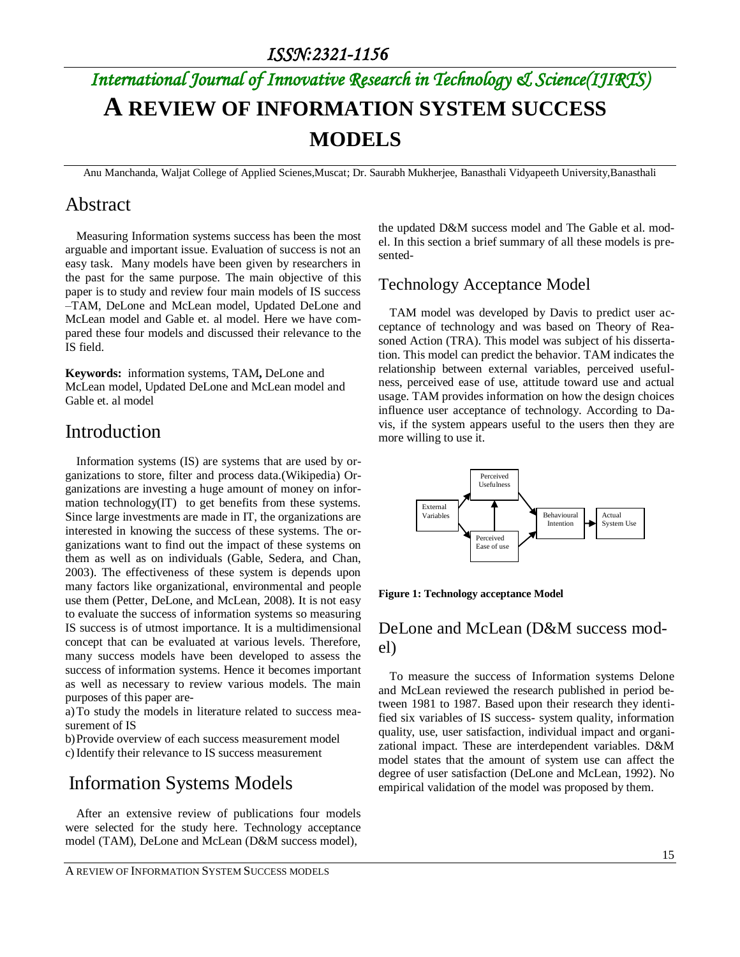# *International Journal of Innovative Research in Technology & Science(IJIRTS)* **A REVIEW OF INFORMATION SYSTEM SUCCESS MODELS**

Anu Manchanda, Waljat College of Applied Scienes,Muscat; Dr. Saurabh Mukherjee, Banasthali Vidyapeeth University,Banasthali

#### Abstract

Measuring Information systems success has been the most arguable and important issue. Evaluation of success is not an easy task. Many models have been given by researchers in the past for the same purpose. The main objective of this paper is to study and review four main models of IS success –TAM, DeLone and McLean model, Updated DeLone and McLean model and Gable et. al model. Here we have compared these four models and discussed their relevance to the IS field.

**Keywords:** information systems, TAM**,** DeLone and McLean model, Updated DeLone and McLean model and Gable et. al model

### Introduction

Information systems (IS) are systems that are used by organizations to store, filter and process data.(Wikipedia) Organizations are investing a huge amount of money on information technology(IT) to get benefits from these systems. Since large investments are made in IT, the organizations are interested in knowing the success of these systems. The organizations want to find out the impact of these systems on them as well as on individuals (Gable, Sedera, and Chan, 2003). The effectiveness of these system is depends upon many factors like organizational, environmental and people use them (Petter, DeLone, and McLean, 2008). It is not easy to evaluate the success of information systems so measuring IS success is of utmost importance. It is a multidimensional concept that can be evaluated at various levels. Therefore, many success models have been developed to assess the success of information systems. Hence it becomes important as well as necessary to review various models. The main purposes of this paper are-

a)To study the models in literature related to success measurement of IS

b)Provide overview of each success measurement model

c)Identify their relevance to IS success measurement

# Information Systems Models

After an extensive review of publications four models were selected for the study here. Technology acceptance model (TAM), DeLone and McLean (D&M success model),

the updated D&M success model and The Gable et al. model. In this section a brief summary of all these models is presented-

#### Technology Acceptance Model

TAM model was developed by Davis to predict user acceptance of technology and was based on Theory of Reasoned Action (TRA). This model was subject of his dissertation. This model can predict the behavior. TAM indicates the relationship between external variables, perceived usefulness, perceived ease of use, attitude toward use and actual usage. TAM provides information on how the design choices influence user acceptance of technology. According to Davis, if the system appears useful to the users then they are more willing to use it.



**Figure 1: Technology acceptance Model**

#### DeLone and McLean (D&M success model)

To measure the success of Information systems Delone and McLean reviewed the research published in period between 1981 to 1987. Based upon their research they identified six variables of IS success- system quality, information quality, use, user satisfaction, individual impact and organizational impact. These are interdependent variables. D&M model states that the amount of system use can affect the degree of user satisfaction (DeLone and McLean, 1992). No empirical validation of the model was proposed by them.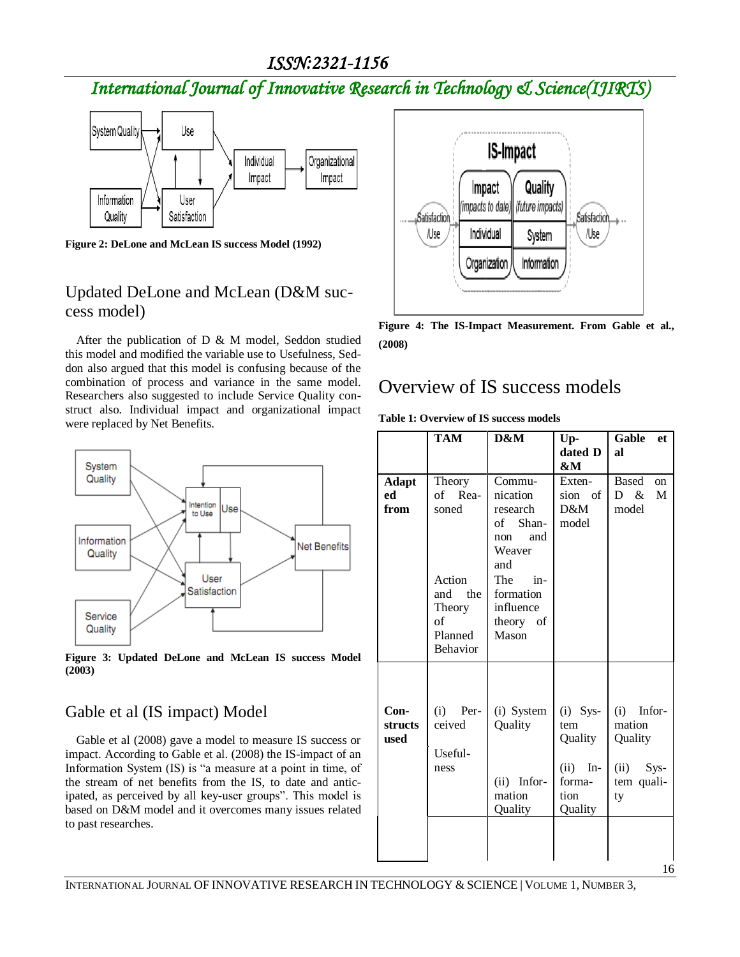### *ISSN:2321-1156*

# *International Journal of Innovative Research in Technology & Science(IJIRTS)*



**Figure 2: DeLone and McLean IS success Model (1992)**

#### Updated DeLone and McLean (D&M success model)

After the publication of D & M model, Seddon studied this model and modified the variable use to Usefulness, Seddon also argued that this model is confusing because of the combination of process and variance in the same model. Researchers also suggested to include Service Quality construct also. Individual impact and organizational impact were replaced by Net Benefits.



**Figure 3: Updated DeLone and McLean IS success Model (2003)**

#### Gable et al (IS impact) Model

Gable et al (2008) gave a model to measure IS success or impact. According to Gable et al. (2008) the IS-impact of an Information System (IS) is "a measure at a point in time, of the stream of net benefits from the IS, to date and anticipated, as perceived by all key-user groups". This model is based on D&M model and it overcomes many issues related to past researches.



**Figure 4: The IS-Impact Measurement. From Gable et al., (2008)**

#### Overview of IS success models

**Table 1: Overview of IS success models**

|                            | <b>TAM</b>                                                                                       | D&M                                                                                                                                       | Up-<br>dated D<br>&M                                                       | Gable<br>et<br>al                                                    |
|----------------------------|--------------------------------------------------------------------------------------------------|-------------------------------------------------------------------------------------------------------------------------------------------|----------------------------------------------------------------------------|----------------------------------------------------------------------|
| <b>Adapt</b><br>ed<br>from | Theory<br>of Rea-<br>soned<br>Action<br>the<br>and<br>Theory<br>of<br>Planned<br><b>Behavior</b> | Commu-<br>nication<br>research<br>of Shan-<br>and<br>non<br>Weaver<br>and<br>The<br>$in-$<br>formation<br>influence<br>theory of<br>Mason | Exten-<br>sion of<br>D&M<br>model                                          | Based<br><sub>on</sub><br>M<br>D &<br>model                          |
| $Con-$<br>structs<br>used  | (i)<br>Per-<br>ceived<br>Useful-<br>ness                                                         | (i) System<br>Quality<br>$(ii)$ Infor-<br>mation<br>Quality                                                                               | $(i)$ Sys-<br>tem<br>Quality<br>(ii)<br>$In-$<br>forma-<br>tion<br>Quality | $(i)$ Infor-<br>mation<br>Quality<br>$(ii)$ Sys-<br>tem quali-<br>ty |

16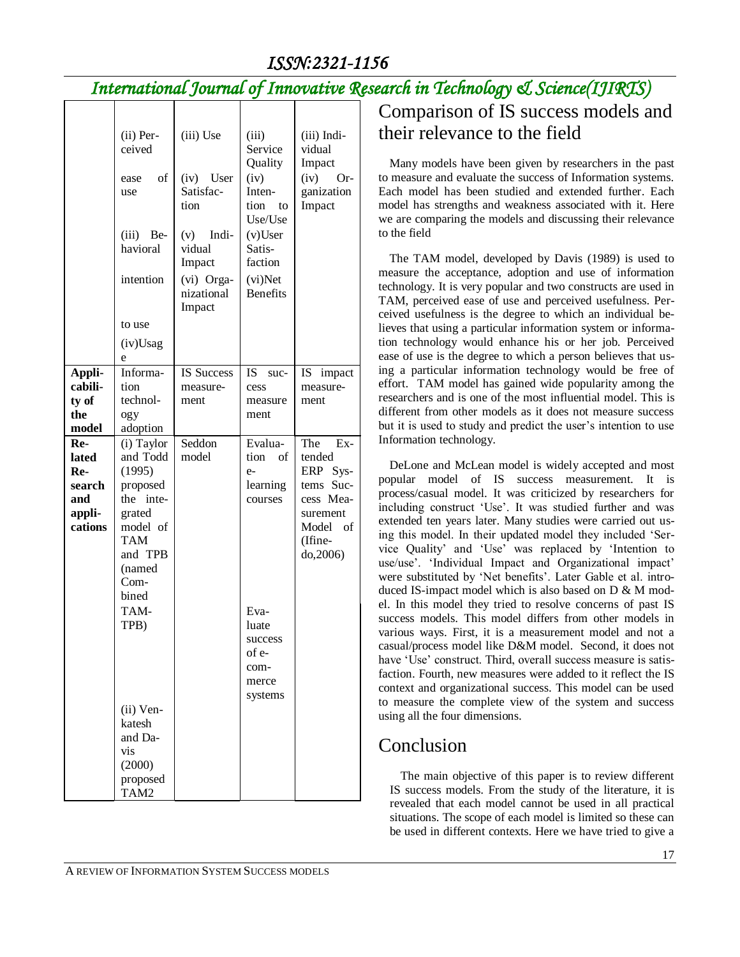# *International Journal of Innovative Research in Technology & Science(IJIRTS)*

|                                                           | (ii) Per-<br>ceived<br>of<br>ease<br>use<br>(iii)<br>Be-<br>havioral<br>intention<br>to use<br>(iv)Usag<br>e                                                                                                        | (iii) Use<br>(iv)<br>User<br>Satisfac-<br>tion<br>(v)<br>Indi-<br>vidual<br>Impact<br>(vi) Orga-<br>nizational<br>Impact | (iii)<br>Service<br>Quality<br>(iv)<br>Inten-<br>tion<br>to<br>Use/Use<br>$(v)$ User<br>Satis-<br>faction<br>(vi)Net<br><b>Benefits</b> | (iii) Indi-<br>vidual<br>Impact<br>(iv)<br>$Or-$<br>ganization<br>Impact                                     |
|-----------------------------------------------------------|---------------------------------------------------------------------------------------------------------------------------------------------------------------------------------------------------------------------|--------------------------------------------------------------------------------------------------------------------------|-----------------------------------------------------------------------------------------------------------------------------------------|--------------------------------------------------------------------------------------------------------------|
| Appli-<br>cabili-<br>ty of<br>the<br>model                | Informa-<br>tion<br>technol-<br>ogy<br>adoption                                                                                                                                                                     | <b>IS Success</b><br>measure-<br>ment                                                                                    | IS.<br>suc-<br>cess<br>measure<br>ment                                                                                                  | IS -<br>impact<br>measure-<br>ment                                                                           |
| Re-<br>lated<br>Re-<br>search<br>and<br>appli-<br>cations | (i) Taylor<br>and Todd<br>(1995)<br>proposed<br>the inte-<br>grated<br>model of<br>TAM<br>and TPB<br>(named<br>Com-<br>bined<br>TAM-<br>TPB)<br>(ii) Ven-<br>katesh<br>and Da-<br>vis<br>(2000)<br>proposed<br>TAM2 | Seddon<br>model                                                                                                          | Evalua-<br>tion<br>of<br>e-<br>learning<br>courses<br>Eva-<br>luate<br>success<br>of e-<br>com-<br>merce<br>systems                     | The<br>$Ex-$<br>tended<br>ERP Sys-<br>tems Suc-<br>cess Mea-<br>surement<br>Model of<br>(Ifine-<br>do, 2006) |

# Comparison of IS success models and their relevance to the field

Many models have been given by researchers in the past to measure and evaluate the success of Information systems. Each model has been studied and extended further. Each model has strengths and weakness associated with it. Here we are comparing the models and discussing their relevance to the field

The TAM model, developed by Davis (1989) is used to measure the acceptance, adoption and use of information technology. It is very popular and two constructs are used in TAM, perceived ease of use and perceived usefulness. Perceived usefulness is the degree to which an individual believes that using a particular information system or information technology would enhance his or her job. Perceived ease of use is the degree to which a person believes that using a particular information technology would be free of effort. TAM model has gained wide popularity among the researchers and is one of the most influential model. This is different from other models as it does not measure success but it is used to study and predict the user's intention to use Information technology.

DeLone and McLean model is widely accepted and most popular model of IS success measurement. It is process/casual model. It was criticized by researchers for including construct "Use". It was studied further and was extended ten years later. Many studies were carried out using this model. In their updated model they included "Service Quality" and "Use" was replaced by "Intention to use/use'. 'Individual Impact and Organizational impact' were substituted by "Net benefits". Later Gable et al. introduced IS-impact model which is also based on D & M model. In this model they tried to resolve concerns of past IS success models. This model differs from other models in various ways. First, it is a measurement model and not a casual/process model like D&M model. Second, it does not have 'Use' construct. Third, overall success measure is satisfaction. Fourth, new measures were added to it reflect the IS context and organizational success. This model can be used to measure the complete view of the system and success using all the four dimensions.

# Conclusion

The main objective of this paper is to review different IS success models. From the study of the literature, it is revealed that each model cannot be used in all practical situations. The scope of each model is limited so these can be used in different contexts. Here we have tried to give a